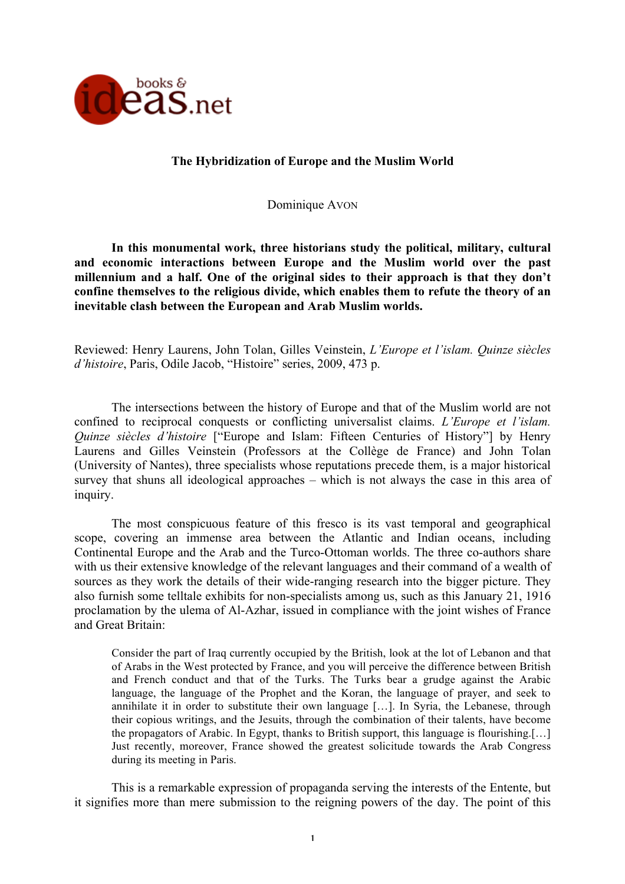

# **The Hybridization of Europe and the Muslim World**

Dominique AVON

**In this monumental work, three historians study the political, military, cultural and economic interactions between Europe and the Muslim world over the past millennium and a half. One of the original sides to their approach is that they don't confine themselves to the religious divide, which enables them to refute the theory of an inevitable clash between the European and Arab Muslim worlds.** 

Reviewed: Henry Laurens, John Tolan, Gilles Veinstein, *L'Europe et l'islam. Quinze siècles d'histoire*, Paris, Odile Jacob, "Histoire" series, 2009, 473 p.

The intersections between the history of Europe and that of the Muslim world are not confined to reciprocal conquests or conflicting universalist claims. *L'Europe et l'islam. Quinze siècles d'histoire* ["Europe and Islam: Fifteen Centuries of History"] by Henry Laurens and Gilles Veinstein (Professors at the Collège de France) and John Tolan (University of Nantes), three specialists whose reputations precede them, is a major historical survey that shuns all ideological approaches – which is not always the case in this area of inquiry.

The most conspicuous feature of this fresco is its vast temporal and geographical scope, covering an immense area between the Atlantic and Indian oceans, including Continental Europe and the Arab and the Turco-Ottoman worlds. The three co-authors share with us their extensive knowledge of the relevant languages and their command of a wealth of sources as they work the details of their wide-ranging research into the bigger picture. They also furnish some telltale exhibits for non-specialists among us, such as this January 21, 1916 proclamation by the ulema of Al-Azhar, issued in compliance with the joint wishes of France and Great Britain:

Consider the part of Iraq currently occupied by the British, look at the lot of Lebanon and that of Arabs in the West protected by France, and you will perceive the difference between British and French conduct and that of the Turks. The Turks bear a grudge against the Arabic language, the language of the Prophet and the Koran, the language of prayer, and seek to annihilate it in order to substitute their own language […]. In Syria, the Lebanese, through their copious writings, and the Jesuits, through the combination of their talents, have become the propagators of Arabic. In Egypt, thanks to British support, this language is flourishing.[…] Just recently, moreover, France showed the greatest solicitude towards the Arab Congress during its meeting in Paris.

This is a remarkable expression of propaganda serving the interests of the Entente, but it signifies more than mere submission to the reigning powers of the day. The point of this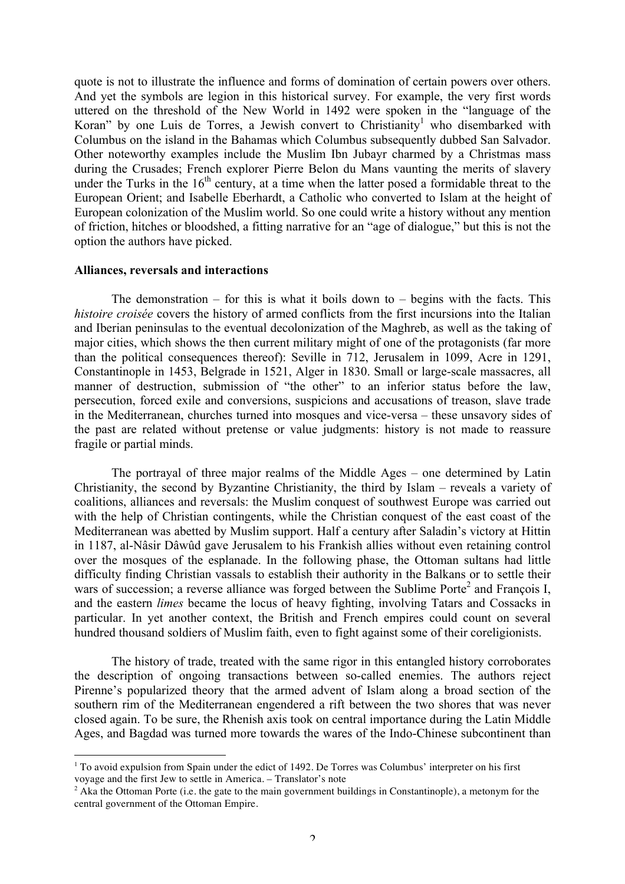quote is not to illustrate the influence and forms of domination of certain powers over others. And yet the symbols are legion in this historical survey. For example, the very first words uttered on the threshold of the New World in 1492 were spoken in the "language of the Koran" by one Luis de Torres, a Jewish convert to Christianity<sup>1</sup> who disembarked with Columbus on the island in the Bahamas which Columbus subsequently dubbed San Salvador. Other noteworthy examples include the Muslim Ibn Jubayr charmed by a Christmas mass during the Crusades; French explorer Pierre Belon du Mans vaunting the merits of slavery under the Turks in the  $16<sup>th</sup>$  century, at a time when the latter posed a formidable threat to the European Orient; and Isabelle Eberhardt, a Catholic who converted to Islam at the height of European colonization of the Muslim world. So one could write a history without any mention of friction, hitches or bloodshed, a fitting narrative for an "age of dialogue," but this is not the option the authors have picked.

#### **Alliances, reversals and interactions**

The demonstration – for this is what it boils down to – begins with the facts. This *histoire croisée* covers the history of armed conflicts from the first incursions into the Italian and Iberian peninsulas to the eventual decolonization of the Maghreb, as well as the taking of major cities, which shows the then current military might of one of the protagonists (far more than the political consequences thereof): Seville in 712, Jerusalem in 1099, Acre in 1291, Constantinople in 1453, Belgrade in 1521, Alger in 1830. Small or large-scale massacres, all manner of destruction, submission of "the other" to an inferior status before the law, persecution, forced exile and conversions, suspicions and accusations of treason, slave trade in the Mediterranean, churches turned into mosques and vice-versa – these unsavory sides of the past are related without pretense or value judgments: history is not made to reassure fragile or partial minds.

The portrayal of three major realms of the Middle Ages – one determined by Latin Christianity, the second by Byzantine Christianity, the third by Islam – reveals a variety of coalitions, alliances and reversals: the Muslim conquest of southwest Europe was carried out with the help of Christian contingents, while the Christian conquest of the east coast of the Mediterranean was abetted by Muslim support. Half a century after Saladin's victory at Hittin in 1187, al-Nâsir Dâwûd gave Jerusalem to his Frankish allies without even retaining control over the mosques of the esplanade. In the following phase, the Ottoman sultans had little difficulty finding Christian vassals to establish their authority in the Balkans or to settle their wars of succession; a reverse alliance was forged between the Sublime Porte<sup>2</sup> and François I, and the eastern *limes* became the locus of heavy fighting, involving Tatars and Cossacks in particular. In yet another context, the British and French empires could count on several hundred thousand soldiers of Muslim faith, even to fight against some of their coreligionists.

The history of trade, treated with the same rigor in this entangled history corroborates the description of ongoing transactions between so-called enemies. The authors reject Pirenne's popularized theory that the armed advent of Islam along a broad section of the southern rim of the Mediterranean engendered a rift between the two shores that was never closed again. To be sure, the Rhenish axis took on central importance during the Latin Middle Ages, and Bagdad was turned more towards the wares of the Indo-Chinese subcontinent than

<sup>|&</sup>lt;br>|<br>1  $1$  To avoid expulsion from Spain under the edict of 1492. De Torres was Columbus' interpreter on his first voyage and the first Jew to settle in America. – Translator's note

 $2$  Aka the Ottoman Porte (i.e. the gate to the main government buildings in Constantinople), a metonym for the central government of the Ottoman Empire.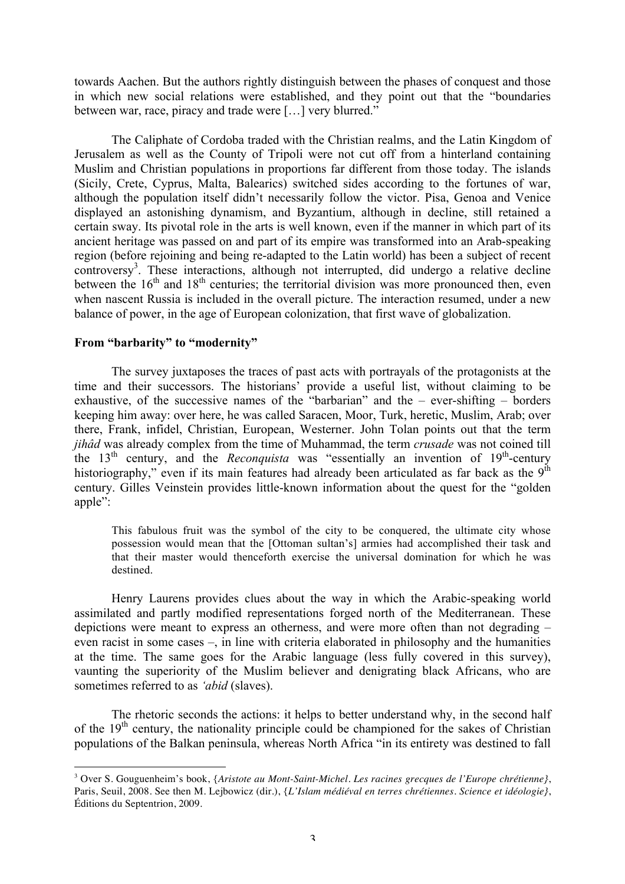towards Aachen. But the authors rightly distinguish between the phases of conquest and those in which new social relations were established, and they point out that the "boundaries between war, race, piracy and trade were […] very blurred."

The Caliphate of Cordoba traded with the Christian realms, and the Latin Kingdom of Jerusalem as well as the County of Tripoli were not cut off from a hinterland containing Muslim and Christian populations in proportions far different from those today. The islands (Sicily, Crete, Cyprus, Malta, Balearics) switched sides according to the fortunes of war, although the population itself didn't necessarily follow the victor. Pisa, Genoa and Venice displayed an astonishing dynamism, and Byzantium, although in decline, still retained a certain sway. Its pivotal role in the arts is well known, even if the manner in which part of its ancient heritage was passed on and part of its empire was transformed into an Arab-speaking region (before rejoining and being re-adapted to the Latin world) has been a subject of recent controversy<sup>3</sup>. These interactions, although not interrupted, did undergo a relative decline between the  $16<sup>th</sup>$  and  $18<sup>th</sup>$  centuries; the territorial division was more pronounced then, even when nascent Russia is included in the overall picture. The interaction resumed, under a new balance of power, in the age of European colonization, that first wave of globalization.

# **From "barbarity" to "modernity"**

The survey juxtaposes the traces of past acts with portrayals of the protagonists at the time and their successors. The historians' provide a useful list, without claiming to be exhaustive, of the successive names of the "barbarian" and the – ever-shifting – borders keeping him away: over here, he was called Saracen, Moor, Turk, heretic, Muslim, Arab; over there, Frank, infidel, Christian, European, Westerner. John Tolan points out that the term *jihâd* was already complex from the time of Muhammad, the term *crusade* was not coined till the 13<sup>th</sup> century, and the *Reconquista* was "essentially an invention of 19<sup>th</sup>-century historiography," even if its main features had already been articulated as far back as the  $9<sup>th</sup>$ century. Gilles Veinstein provides little-known information about the quest for the "golden apple":

This fabulous fruit was the symbol of the city to be conquered, the ultimate city whose possession would mean that the [Ottoman sultan's] armies had accomplished their task and that their master would thenceforth exercise the universal domination for which he was destined.

Henry Laurens provides clues about the way in which the Arabic-speaking world assimilated and partly modified representations forged north of the Mediterranean. These depictions were meant to express an otherness, and were more often than not degrading – even racist in some cases –, in line with criteria elaborated in philosophy and the humanities at the time. The same goes for the Arabic language (less fully covered in this survey), vaunting the superiority of the Muslim believer and denigrating black Africans, who are sometimes referred to as *'abid* (slaves).

The rhetoric seconds the actions: it helps to better understand why, in the second half of the  $19<sup>th</sup>$  century, the nationality principle could be championed for the sakes of Christian populations of the Balkan peninsula, whereas North Africa "in its entirety was destined to fall

<sup>&</sup>lt;sup>2</sup><br>3 Over S. Gouguenheim's book, {*Aristote au Mont-Saint-Michel. Les racines grecques de l'Europe chrétienne}*, Paris, Seuil, 2008. See then M. Lejbowicz (dir.), {*L'Islam médiéval en terres chrétiennes. Science et idéologie}*, Éditions du Septentrion, 2009.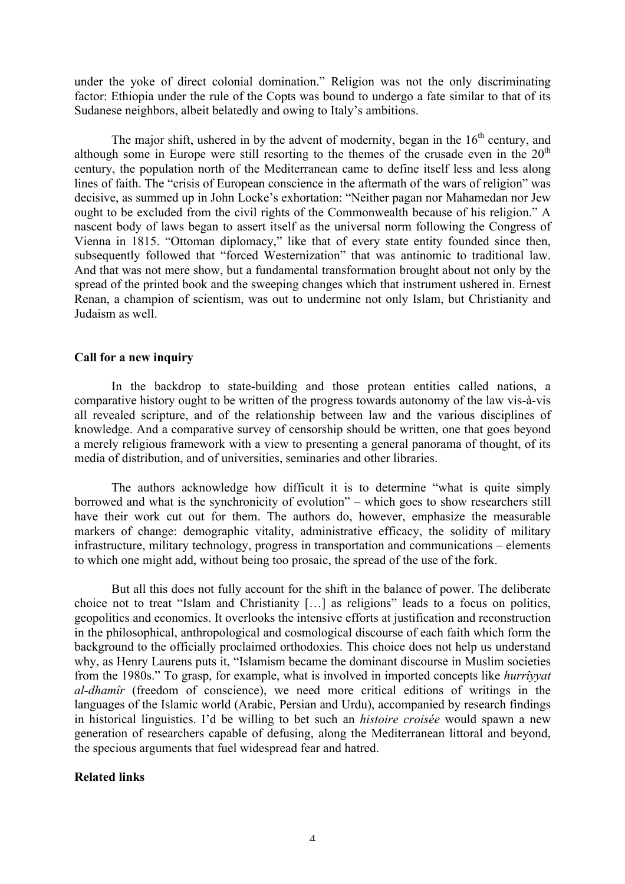under the yoke of direct colonial domination." Religion was not the only discriminating factor: Ethiopia under the rule of the Copts was bound to undergo a fate similar to that of its Sudanese neighbors, albeit belatedly and owing to Italy's ambitions.

The major shift, ushered in by the advent of modernity, began in the  $16<sup>th</sup>$  century, and although some in Europe were still resorting to the themes of the crusade even in the  $20<sup>th</sup>$ century, the population north of the Mediterranean came to define itself less and less along lines of faith. The "crisis of European conscience in the aftermath of the wars of religion" was decisive, as summed up in John Locke's exhortation: "Neither pagan nor Mahamedan nor Jew ought to be excluded from the civil rights of the Commonwealth because of his religion." A nascent body of laws began to assert itself as the universal norm following the Congress of Vienna in 1815. "Ottoman diplomacy," like that of every state entity founded since then, subsequently followed that "forced Westernization" that was antinomic to traditional law. And that was not mere show, but a fundamental transformation brought about not only by the spread of the printed book and the sweeping changes which that instrument ushered in. Ernest Renan, a champion of scientism, was out to undermine not only Islam, but Christianity and Judaism as well.

## **Call for a new inquiry**

In the backdrop to state-building and those protean entities called nations, a comparative history ought to be written of the progress towards autonomy of the law vis-à-vis all revealed scripture, and of the relationship between law and the various disciplines of knowledge. And a comparative survey of censorship should be written, one that goes beyond a merely religious framework with a view to presenting a general panorama of thought, of its media of distribution, and of universities, seminaries and other libraries.

The authors acknowledge how difficult it is to determine "what is quite simply borrowed and what is the synchronicity of evolution" – which goes to show researchers still have their work cut out for them. The authors do, however, emphasize the measurable markers of change: demographic vitality, administrative efficacy, the solidity of military infrastructure, military technology, progress in transportation and communications – elements to which one might add, without being too prosaic, the spread of the use of the fork.

But all this does not fully account for the shift in the balance of power. The deliberate choice not to treat "Islam and Christianity […] as religions" leads to a focus on politics, geopolitics and economics. It overlooks the intensive efforts at justification and reconstruction in the philosophical, anthropological and cosmological discourse of each faith which form the background to the officially proclaimed orthodoxies. This choice does not help us understand why, as Henry Laurens puts it, "Islamism became the dominant discourse in Muslim societies from the 1980s." To grasp, for example, what is involved in imported concepts like *hurrîyyat al-dhamîr* (freedom of conscience), we need more critical editions of writings in the languages of the Islamic world (Arabic, Persian and Urdu), accompanied by research findings in historical linguistics. I'd be willing to bet such an *histoire croisée* would spawn a new generation of researchers capable of defusing, along the Mediterranean littoral and beyond, the specious arguments that fuel widespread fear and hatred.

## **Related links**